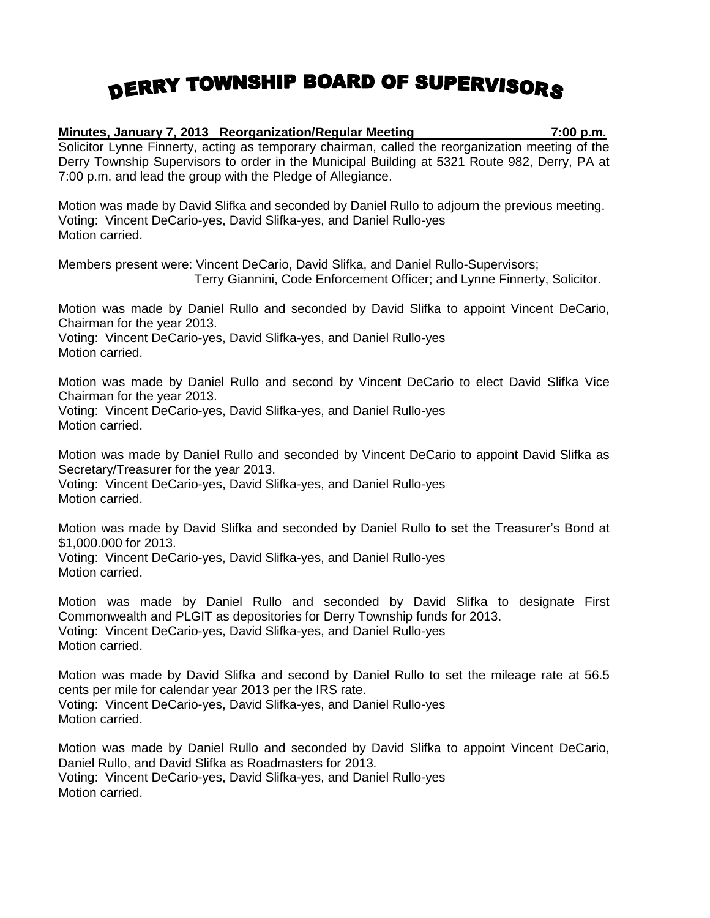## DERRY TOWNSHIP BOARD OF SUPERVISORS

## **Minutes, January 7, 2013 Reorganization/Regular Meeting 7:00 p.m.** Solicitor Lynne Finnerty, acting as temporary chairman, called the reorganization meeting of the Derry Township Supervisors to order in the Municipal Building at 5321 Route 982, Derry, PA at 7:00 p.m. and lead the group with the Pledge of Allegiance.

Motion was made by David Slifka and seconded by Daniel Rullo to adjourn the previous meeting. Voting: Vincent DeCario-yes, David Slifka-yes, and Daniel Rullo-yes Motion carried.

Members present were: Vincent DeCario, David Slifka, and Daniel Rullo-Supervisors; Terry Giannini, Code Enforcement Officer; and Lynne Finnerty, Solicitor.

Motion was made by Daniel Rullo and seconded by David Slifka to appoint Vincent DeCario, Chairman for the year 2013.

Voting: Vincent DeCario-yes, David Slifka-yes, and Daniel Rullo-yes Motion carried.

Motion was made by Daniel Rullo and second by Vincent DeCario to elect David Slifka Vice Chairman for the year 2013. Voting: Vincent DeCario-yes, David Slifka-yes, and Daniel Rullo-yes Motion carried.

Motion was made by Daniel Rullo and seconded by Vincent DeCario to appoint David Slifka as Secretary/Treasurer for the year 2013. Voting: Vincent DeCario-yes, David Slifka-yes, and Daniel Rullo-yes Motion carried.

Motion was made by David Slifka and seconded by Daniel Rullo to set the Treasurer's Bond at \$1,000.000 for 2013.

Voting: Vincent DeCario-yes, David Slifka-yes, and Daniel Rullo-yes Motion carried.

Motion was made by Daniel Rullo and seconded by David Slifka to designate First Commonwealth and PLGIT as depositories for Derry Township funds for 2013. Voting: Vincent DeCario-yes, David Slifka-yes, and Daniel Rullo-yes Motion carried.

Motion was made by David Slifka and second by Daniel Rullo to set the mileage rate at 56.5 cents per mile for calendar year 2013 per the IRS rate. Voting: Vincent DeCario-yes, David Slifka-yes, and Daniel Rullo-yes Motion carried.

Motion was made by Daniel Rullo and seconded by David Slifka to appoint Vincent DeCario, Daniel Rullo, and David Slifka as Roadmasters for 2013. Voting: Vincent DeCario-yes, David Slifka-yes, and Daniel Rullo-yes Motion carried.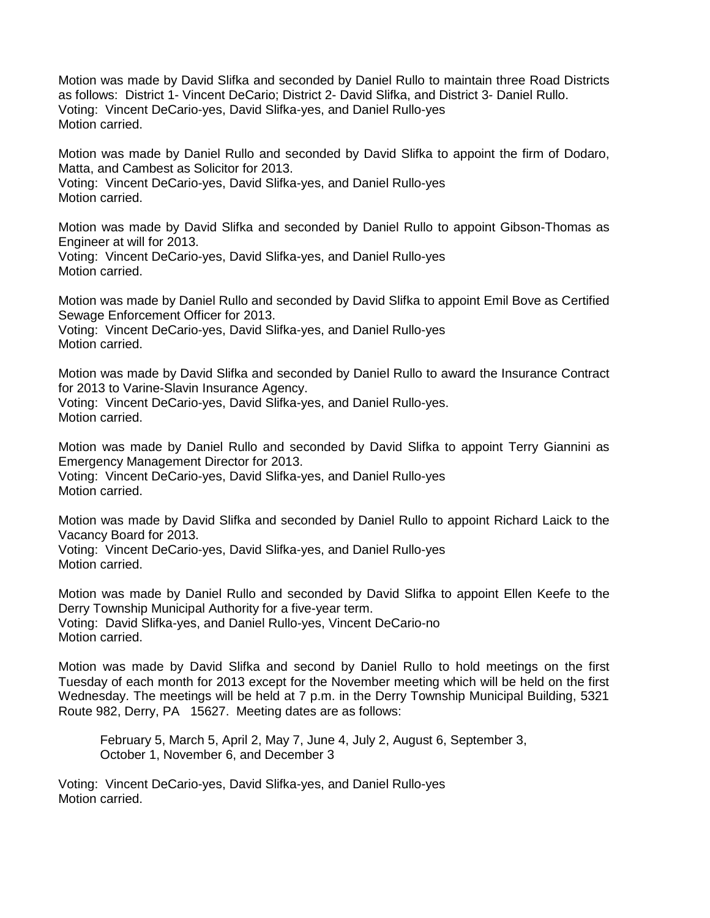Motion was made by David Slifka and seconded by Daniel Rullo to maintain three Road Districts as follows: District 1- Vincent DeCario; District 2- David Slifka, and District 3- Daniel Rullo. Voting: Vincent DeCario-yes, David Slifka-yes, and Daniel Rullo-yes Motion carried.

Motion was made by Daniel Rullo and seconded by David Slifka to appoint the firm of Dodaro, Matta, and Cambest as Solicitor for 2013. Voting: Vincent DeCario-yes, David Slifka-yes, and Daniel Rullo-yes Motion carried.

Motion was made by David Slifka and seconded by Daniel Rullo to appoint Gibson-Thomas as Engineer at will for 2013.

Voting: Vincent DeCario-yes, David Slifka-yes, and Daniel Rullo-yes Motion carried.

Motion was made by Daniel Rullo and seconded by David Slifka to appoint Emil Bove as Certified Sewage Enforcement Officer for 2013. Voting: Vincent DeCario-yes, David Slifka-yes, and Daniel Rullo-yes

Motion carried.

Motion was made by David Slifka and seconded by Daniel Rullo to award the Insurance Contract for 2013 to Varine-Slavin Insurance Agency. Voting: Vincent DeCario-yes, David Slifka-yes, and Daniel Rullo-yes. Motion carried.

Motion was made by Daniel Rullo and seconded by David Slifka to appoint Terry Giannini as Emergency Management Director for 2013. Voting: Vincent DeCario-yes, David Slifka-yes, and Daniel Rullo-yes Motion carried.

Motion was made by David Slifka and seconded by Daniel Rullo to appoint Richard Laick to the Vacancy Board for 2013.

Voting: Vincent DeCario-yes, David Slifka-yes, and Daniel Rullo-yes Motion carried.

Motion was made by Daniel Rullo and seconded by David Slifka to appoint Ellen Keefe to the Derry Township Municipal Authority for a five-year term. Voting: David Slifka-yes, and Daniel Rullo-yes, Vincent DeCario-no Motion carried.

Motion was made by David Slifka and second by Daniel Rullo to hold meetings on the first Tuesday of each month for 2013 except for the November meeting which will be held on the first Wednesday. The meetings will be held at 7 p.m. in the Derry Township Municipal Building, 5321 Route 982, Derry, PA 15627. Meeting dates are as follows:

February 5, March 5, April 2, May 7, June 4, July 2, August 6, September 3, October 1, November 6, and December 3

Voting: Vincent DeCario-yes, David Slifka-yes, and Daniel Rullo-yes Motion carried.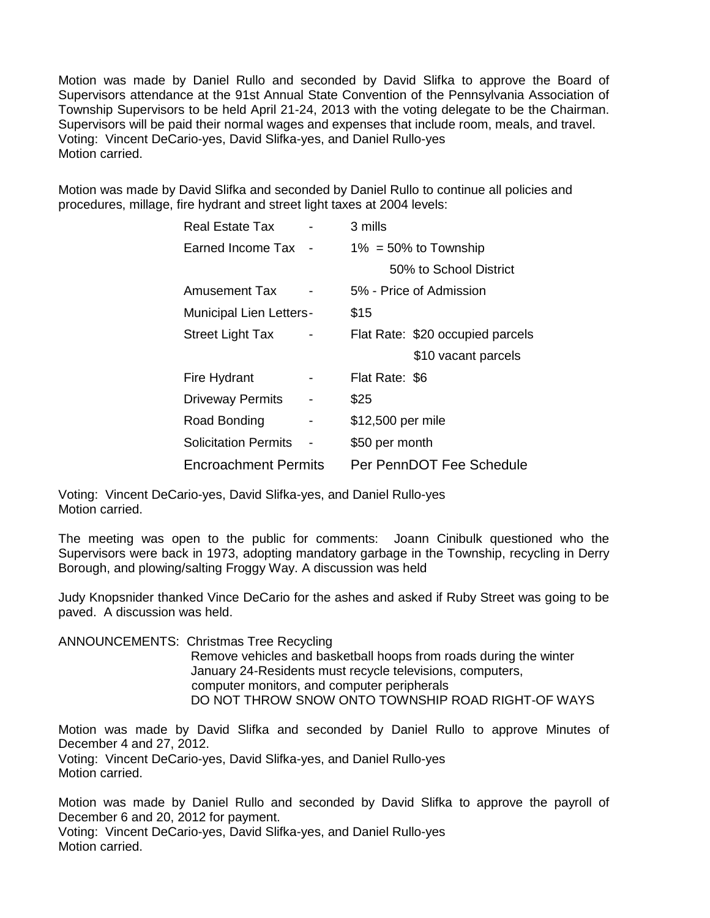Motion was made by Daniel Rullo and seconded by David Slifka to approve the Board of Supervisors attendance at the 91st Annual State Convention of the Pennsylvania Association of Township Supervisors to be held April 21-24, 2013 with the voting delegate to be the Chairman. Supervisors will be paid their normal wages and expenses that include room, meals, and travel. Voting: Vincent DeCario-yes, David Slifka-yes, and Daniel Rullo-yes Motion carried.

Motion was made by David Slifka and seconded by Daniel Rullo to continue all policies and procedures, millage, fire hydrant and street light taxes at 2004 levels:

| Real Estate Tax                |   | 3 mills                          |
|--------------------------------|---|----------------------------------|
| Earned Income Tax              |   | $1\% = 50\%$ to Township         |
|                                |   | 50% to School District           |
| Amusement Tax                  |   | 5% - Price of Admission          |
| <b>Municipal Lien Letters-</b> |   | \$15                             |
| <b>Street Light Tax</b>        |   | Flat Rate: \$20 occupied parcels |
|                                |   | \$10 vacant parcels              |
| Fire Hydrant                   |   | Flat Rate: \$6                   |
| <b>Driveway Permits</b>        | - | \$25                             |
| Road Bonding                   | - | \$12,500 per mile                |
| <b>Solicitation Permits</b>    |   | \$50 per month                   |
| <b>Encroachment Permits</b>    |   | Per PennDOT Fee Schedule         |

Voting: Vincent DeCario-yes, David Slifka-yes, and Daniel Rullo-yes Motion carried.

The meeting was open to the public for comments: Joann Cinibulk questioned who the Supervisors were back in 1973, adopting mandatory garbage in the Township, recycling in Derry Borough, and plowing/salting Froggy Way. A discussion was held

Judy Knopsnider thanked Vince DeCario for the ashes and asked if Ruby Street was going to be paved. A discussion was held.

ANNOUNCEMENTS: Christmas Tree Recycling

Remove vehicles and basketball hoops from roads during the winter January 24-Residents must recycle televisions, computers, computer monitors, and computer peripherals DO NOT THROW SNOW ONTO TOWNSHIP ROAD RIGHT-OF WAYS

Motion was made by David Slifka and seconded by Daniel Rullo to approve Minutes of December 4 and 27, 2012.

Voting: Vincent DeCario-yes, David Slifka-yes, and Daniel Rullo-yes Motion carried.

Motion was made by Daniel Rullo and seconded by David Slifka to approve the payroll of December 6 and 20, 2012 for payment. Voting: Vincent DeCario-yes, David Slifka-yes, and Daniel Rullo-yes Motion carried.